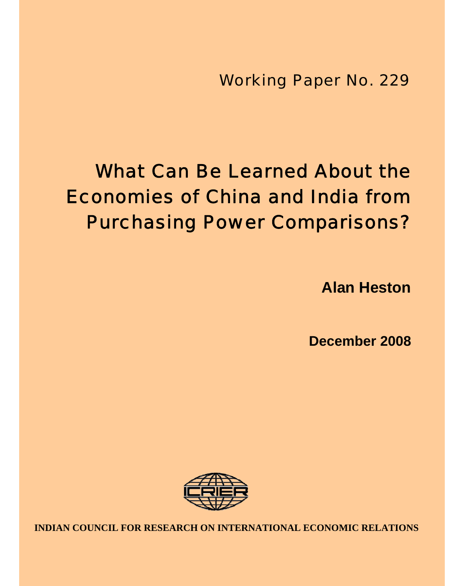Working Paper No. 229

# What Can Be Learned About the Economies of China and India from Purchasing Power Comparisons?

**Alan Heston**

**December 2008**



**INDIAN COUNCIL FOR RESEARCH ON INTERNATIONAL ECONOMIC RELATIONS**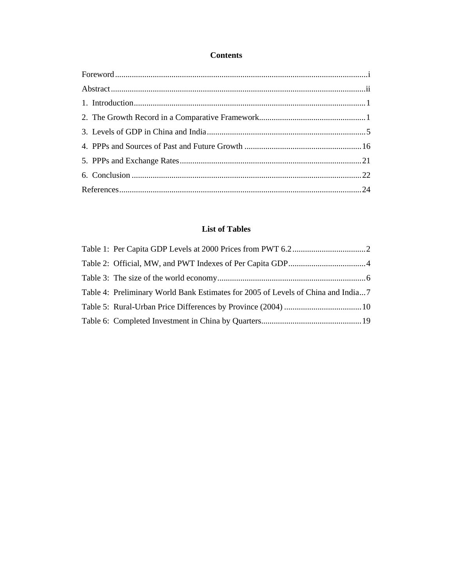# **Contents**

# **List of Tables**

| Table 4: Preliminary World Bank Estimates for 2005 of Levels of China and India7 |
|----------------------------------------------------------------------------------|
|                                                                                  |
|                                                                                  |
|                                                                                  |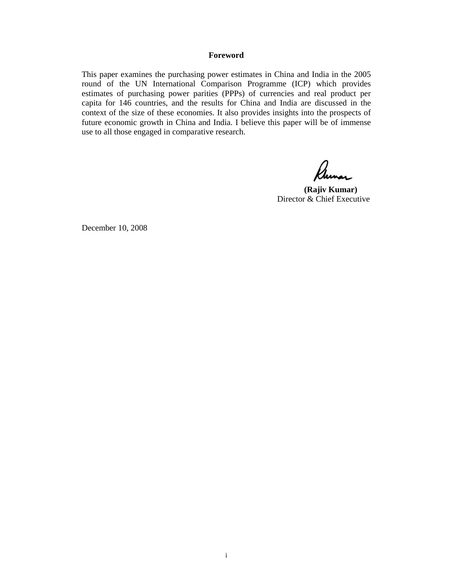#### **Foreword**

This paper examines the purchasing power estimates in China and India in the 2005 round of the UN International Comparison Programme (ICP) which provides estimates of purchasing power parities (PPPs) of currencies and real product per capita for 146 countries, and the results for China and India are discussed in the context of the size of these economies. It also provides insights into the prospects of future economic growth in China and India. I believe this paper will be of immense use to all those engaged in comparative research.

**(Rajiv Kumar)**  Director & Chief Executive

December 10, 2008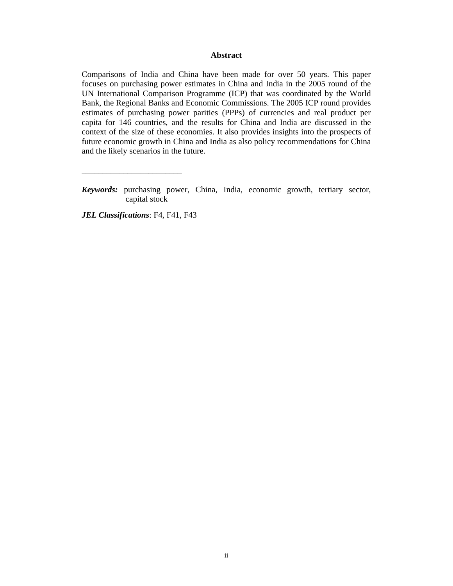#### **Abstract**

Comparisons of India and China have been made for over 50 years. This paper focuses on purchasing power estimates in China and India in the 2005 round of the UN International Comparison Programme (ICP) that was coordinated by the World Bank, the Regional Banks and Economic Commissions. The 2005 ICP round provides estimates of purchasing power parities (PPPs) of currencies and real product per capita for 146 countries, and the results for China and India are discussed in the context of the size of these economies. It also provides insights into the prospects of future economic growth in China and India as also policy recommendations for China and the likely scenarios in the future.

\_\_\_\_\_\_\_\_\_\_\_\_\_\_\_\_\_\_\_\_\_\_\_\_

*JEL Classifications*: F4, F41, F43

*Keywords:* purchasing power, China, India, economic growth, tertiary sector, capital stock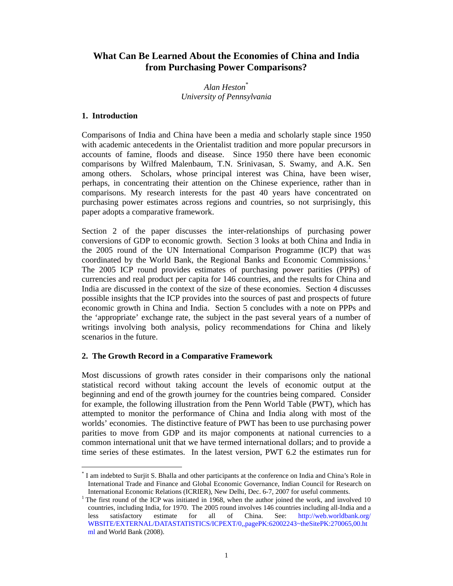# **What Can Be Learned About the Economies of China and India from Purchasing Power Comparisons?**

*Alan Heston*\* *University of Pennsylvania* 

#### **1. Introduction**

 $\overline{a}$ 

Comparisons of India and China have been a media and scholarly staple since 1950 with academic antecedents in the Orientalist tradition and more popular precursors in accounts of famine, floods and disease. Since 1950 there have been economic comparisons by Wilfred Malenbaum, T.N. Srinivasan, S. Swamy, and A.K. Sen among others. Scholars, whose principal interest was China, have been wiser, perhaps, in concentrating their attention on the Chinese experience, rather than in comparisons. My research interests for the past 40 years have concentrated on purchasing power estimates across regions and countries, so not surprisingly, this paper adopts a comparative framework.

Section 2 of the paper discusses the inter-relationships of purchasing power conversions of GDP to economic growth. Section 3 looks at both China and India in the 2005 round of the UN International Comparison Programme (ICP) that was coordinated by the World Bank, the Regional Banks and Economic Commissions.<sup>1</sup> The 2005 ICP round provides estimates of purchasing power parities (PPPs) of currencies and real product per capita for 146 countries, and the results for China and India are discussed in the context of the size of these economies. Section 4 discusses possible insights that the ICP provides into the sources of past and prospects of future economic growth in China and India. Section 5 concludes with a note on PPPs and the 'appropriate' exchange rate, the subject in the past several years of a number of writings involving both analysis, policy recommendations for China and likely scenarios in the future.

#### **2. The Growth Record in a Comparative Framework**

Most discussions of growth rates consider in their comparisons only the national statistical record without taking account the levels of economic output at the beginning and end of the growth journey for the countries being compared. Consider for example, the following illustration from the Penn World Table (PWT), which has attempted to monitor the performance of China and India along with most of the worlds' economies. The distinctive feature of PWT has been to use purchasing power parities to move from GDP and its major components at national currencies to a common international unit that we have termed international dollars; and to provide a time series of these estimates. In the latest version, PWT 6.2 the estimates run for

<sup>\*</sup> I am indebted to Surjit S. Bhalla and other participants at the conference on India and China's Role in International Trade and Finance and Global Economic Governance, Indian Council for Research on International Economic Relations (ICRIER), New Delhi, Dec. 6-7, 2007 for useful comments. 1

<sup>&</sup>lt;sup>1</sup> The first round of the ICP was initiated in 1968, when the author joined the work, and involved 10 countries, including India, for 1970. The 2005 round involves 146 countries including all-India and a less satisfactory estimate for all of China. See: http://web.worldbank.org/ WBSITE/EXTERNAL/DATASTATISTICS/ICPEXT/0,,pagePK:62002243~theSitePK:270065,00.ht ml and World Bank (2008).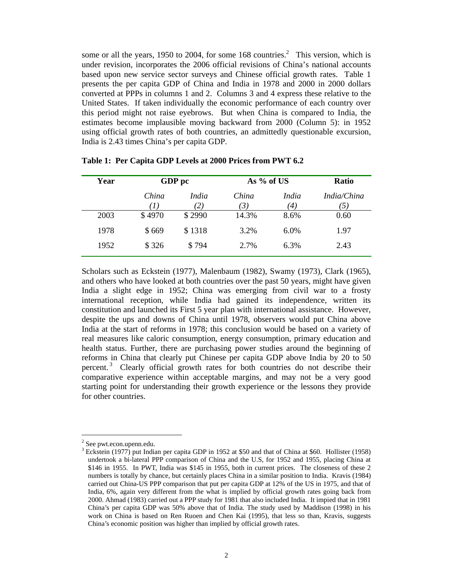some or all the years, 1950 to 2004, for some  $168$  countries.<sup>2</sup> This version, which is under revision, incorporates the 2006 official revisions of China's national accounts based upon new service sector surveys and Chinese official growth rates. Table 1 presents the per capita GDP of China and India in 1978 and 2000 in 2000 dollars converted at PPPs in columns 1 and 2. Columns 3 and 4 express these relative to the United States. If taken individually the economic performance of each country over this period might not raise eyebrows. But when China is compared to India, the estimates become implausible moving backward from 2000 (Column 5): in 1952 using official growth rates of both countries, an admittedly questionable excursion, India is 2.43 times China's per capita GDP.

| Year |                            | GDP pc                | As % of US   |              | <b>Ratio</b>      |
|------|----------------------------|-----------------------|--------------|--------------|-------------------|
|      | China<br>$\left( I\right)$ | India<br>$\mathbf{2}$ | China<br>(3) | India<br>(4) | India/China<br>5) |
| 2003 | \$4970                     | \$2990                | 14.3%        | 8.6%         | 0.60              |
| 1978 | \$669                      | \$1318                | 3.2%         | 6.0%         | 1.97              |
| 1952 | \$326                      | \$794                 | 2.7%         | 6.3%         | 2.43              |

|  | Table 1: Per Capita GDP Levels at 2000 Prices from PWT 6.2 |  |  |  |  |  |  |  |  |  |
|--|------------------------------------------------------------|--|--|--|--|--|--|--|--|--|
|--|------------------------------------------------------------|--|--|--|--|--|--|--|--|--|

Scholars such as Eckstein (1977), Malenbaum (1982), Swamy (1973), Clark (1965), and others who have looked at both countries over the past 50 years, might have given India a slight edge in 1952; China was emerging from civil war to a frosty international reception, while India had gained its independence, written its constitution and launched its First 5 year plan with international assistance. However, despite the ups and downs of China until 1978, observers would put China above India at the start of reforms in 1978; this conclusion would be based on a variety of real measures like caloric consumption, energy consumption, primary education and health status. Further, there are purchasing power studies around the beginning of reforms in China that clearly put Chinese per capita GDP above India by 20 to 50 percent. 3 Clearly official growth rates for both countries do not describe their comparative experience within acceptable margins, and may not be a very good starting point for understanding their growth experience or the lessons they provide for other countries.

 $2$  See pwt.econ.upenn.edu.

 $3$  Eckstein (1977) put Indian per capita GDP in 1952 at \$50 and that of China at \$60. Hollister (1958) undertook a bi-lateral PPP comparison of China and the U.S, for 1952 and 1955, placing China at \$146 in 1955. In PWT, India was \$145 in 1955, both in current prices. The closeness of these 2 numbers is totally by chance, but certainly places China in a similar position to India. Kravis (1984) carried out China-US PPP comparison that put per capita GDP at 12% of the US in 1975, and that of India, 6%, again very different from the what is implied by official growth rates going back from 2000. Ahmad (1983) carried out a PPP study for 1981 that also included India. It impied that in 1981 China's per capita GDP was 50% above that of India. The study used by Maddison (1998) in his work on China is based on Ren Ruoen and Chen Kai (1995), that less so than, Kravis, suggests China's economic position was higher than implied by official growth rates.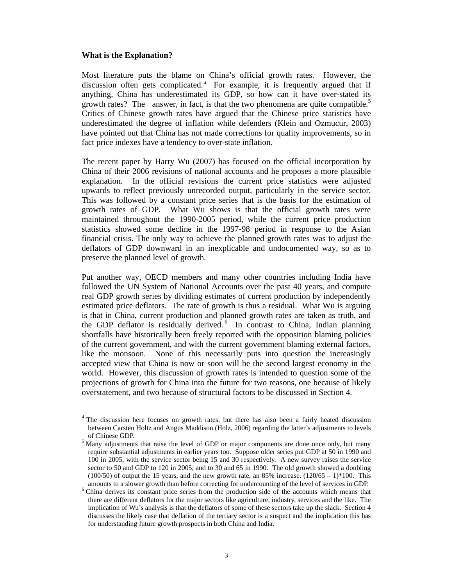#### **What is the Explanation?**

 $\overline{a}$ 

Most literature puts the blame on China's official growth rates. However, the discussion often gets complicated.<sup>4</sup> For example, it is frequently argued that if anything, China has underestimated its GDP, so how can it have over-stated its growth rates? The answer, in fact, is that the two phenomena are quite compatible.<sup>5</sup> Critics of Chinese growth rates have argued that the Chinese price statistics have underestimated the degree of inflation while defenders (Klein and Ozmucur, 2003) have pointed out that China has not made corrections for quality improvements, so in fact price indexes have a tendency to over-state inflation.

The recent paper by Harry Wu (2007) has focused on the official incorporation by China of their 2006 revisions of national accounts and he proposes a more plausible explanation. In the official revisions the current price statistics were adjusted upwards to reflect previously unrecorded output, particularly in the service sector. This was followed by a constant price series that is the basis for the estimation of growth rates of GDP. What Wu shows is that the official growth rates were maintained throughout the 1990-2005 period, while the current price production statistics showed some decline in the 1997-98 period in response to the Asian financial crisis. The only way to achieve the planned growth rates was to adjust the deflators of GDP downward in an inexplicable and undocumented way, so as to preserve the planned level of growth.

Put another way, OECD members and many other countries including India have followed the UN System of National Accounts over the past 40 years, and compute real GDP growth series by dividing estimates of current production by independently estimated price deflators. The rate of growth is thus a residual. What Wu is arguing is that in China, current production and planned growth rates are taken as truth, and the GDP deflator is residually derived. $6\,$  In contrast to China, Indian planning shortfalls have historically been freely reported with the opposition blaming policies of the current government, and with the current government blaming external factors, like the monsoon. None of this necessarily puts into question the increasingly accepted view that China is now or soon will be the second largest economy in the world. However, this discussion of growth rates is intended to question some of the projections of growth for China into the future for two reasons, one because of likely overstatement, and two because of structural factors to be discussed in Section 4.

<sup>&</sup>lt;sup>4</sup> The discussion here focuses on growth rates, but there has also been a fairly heated discussion between Carsten Holtz and Angus Maddison (Holz, 2006) regarding the latter's adjustments to levels

of Chinese GDP.<br><sup>5</sup> Many adjustments that raise the level of GDP or major components are done once only, but many require substantial adjustments in earlier years too. Suppose older series put GDP at 50 in 1990 and 100 in 2005, with the service sector being 15 and 30 respectively. A new survey raises the service sector to 50 and GDP to 120 in 2005, and to 30 and 65 in 1990. The old growth showed a doubling  $(100/50)$  of output the 15 years, and the new growth rate, an 85% increase.  $(120/65 - 1)*100$ . This amounts to a slower growth than before correcting for undercounting of the level of services in GDP. 6

<sup>&</sup>lt;sup>6</sup> China derives its constant price series from the production side of the accounts which means that there are different deflators for the major sectors like agriculture, industry, services and the like. The implication of Wu's analysis is that the deflators of some of these sectors take up the slack. Section 4 discusses the likely case that deflation of the tertiary sector is a suspect and the implication this has for understanding future growth prospects in both China and India.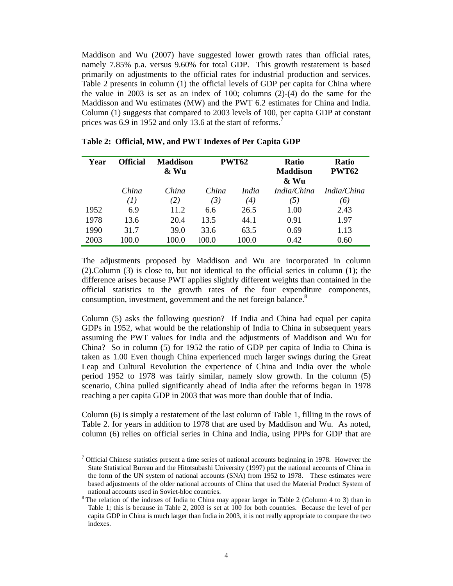Maddison and Wu (2007) have suggested lower growth rates than official rates, namely 7.85% p.a. versus 9.60% for total GDP. This growth restatement is based primarily on adjustments to the official rates for industrial production and services. Table 2 presents in column (1) the official levels of GDP per capita for China where the value in 2003 is set as an index of 100; columns (2)-(4) do the same for the Maddisson and Wu estimates (MW) and the PWT 6.2 estimates for China and India. Column (1) suggests that compared to 2003 levels of 100, per capita GDP at constant prices was 6.9 in 1952 and only 13.6 at the start of reforms.<sup>7</sup>

| Year | <b>Official</b> | <b>Maddison</b><br>& Wu |                   | <b>PWT62</b> | <b>Ratio</b><br><b>Maddison</b><br>$\&$ Wu | <b>Ratio</b><br><b>PWT62</b> |
|------|-----------------|-------------------------|-------------------|--------------|--------------------------------------------|------------------------------|
|      | China           | China                   | China             | India        | India/China                                | India/China                  |
|      | (1)             | (2)                     | $\left( 3\right)$ | (4)          | (5)                                        | (6)                          |
| 1952 | 6.9             | 11.2                    | 6.6               | 26.5         | 1.00                                       | 2.43                         |
| 1978 | 13.6            | 20.4                    | 13.5              | 44.1         | 0.91                                       | 1.97                         |
| 1990 | 31.7            | 39.0                    | 33.6              | 63.5         | 0.69                                       | 1.13                         |
| 2003 | 100.0           | 100.0                   | 100.0             | 100.0        | 0.42                                       | 0.60                         |

#### **Table 2: Official, MW, and PWT Indexes of Per Capita GDP**

The adjustments proposed by Maddison and Wu are incorporated in column (2).Column (3) is close to, but not identical to the official series in column (1); the difference arises because PWT applies slightly different weights than contained in the official statistics to the growth rates of the four expenditure components, consumption, investment, government and the net foreign balance.<sup>8</sup>

Column (5) asks the following question? If India and China had equal per capita GDPs in 1952, what would be the relationship of India to China in subsequent years assuming the PWT values for India and the adjustments of Maddison and Wu for China? So in column (5) for 1952 the ratio of GDP per capita of India to China is taken as 1.00 Even though China experienced much larger swings during the Great Leap and Cultural Revolution the experience of China and India over the whole period 1952 to 1978 was fairly similar, namely slow growth. In the column (5) scenario, China pulled significantly ahead of India after the reforms began in 1978 reaching a per capita GDP in 2003 that was more than double that of India.

Column (6) is simply a restatement of the last column of Table 1, filling in the rows of Table 2. for years in addition to 1978 that are used by Maddison and Wu. As noted, column (6) relies on official series in China and India, using PPPs for GDP that are

 $<sup>7</sup>$  Official Chinese statistics present a time series of national accounts beginning in 1978. However the</sup> State Statistical Bureau and the Hitotsubashi University (1997) put the national accounts of China in the form of the UN system of national accounts (SNA) from 1952 to 1978. These estimates were based adjustments of the older national accounts of China that used the Material Product System of national accounts used in Soviet-bloc countries. 8

<sup>&</sup>lt;sup>8</sup> The relation of the indexes of India to China may appear larger in Table 2 (Column 4 to 3) than in Table 1; this is because in Table 2, 2003 is set at 100 for both countries. Because the level of per capita GDP in China is much larger than India in 2003, it is not really appropriate to compare the two indexes.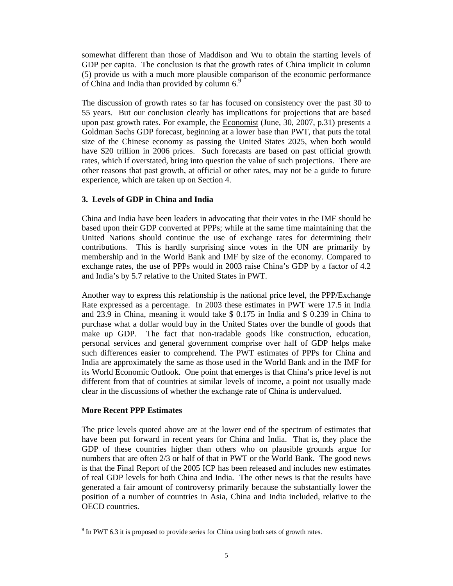somewhat different than those of Maddison and Wu to obtain the starting levels of GDP per capita. The conclusion is that the growth rates of China implicit in column (5) provide us with a much more plausible comparison of the economic performance of China and India than provided by column 6.<sup>9</sup>

The discussion of growth rates so far has focused on consistency over the past 30 to 55 years. But our conclusion clearly has implications for projections that are based upon past growth rates. For example, the Economist (June, 30, 2007, p.31) presents a Goldman Sachs GDP forecast, beginning at a lower base than PWT, that puts the total size of the Chinese economy as passing the United States 2025, when both would have \$20 trillion in 2006 prices. Such forecasts are based on past official growth rates, which if overstated, bring into question the value of such projections. There are other reasons that past growth, at official or other rates, may not be a guide to future experience, which are taken up on Section 4.

## **3. Levels of GDP in China and India**

China and India have been leaders in advocating that their votes in the IMF should be based upon their GDP converted at PPPs; while at the same time maintaining that the United Nations should continue the use of exchange rates for determining their contributions. This is hardly surprising since votes in the UN are primarily by membership and in the World Bank and IMF by size of the economy. Compared to exchange rates, the use of PPPs would in 2003 raise China's GDP by a factor of 4.2 and India's by 5.7 relative to the United States in PWT.

Another way to express this relationship is the national price level, the PPP/Exchange Rate expressed as a percentage. In 2003 these estimates in PWT were 17.5 in India and 23.9 in China, meaning it would take \$ 0.175 in India and \$ 0.239 in China to purchase what a dollar would buy in the United States over the bundle of goods that make up GDP. The fact that non-tradable goods like construction, education, personal services and general government comprise over half of GDP helps make such differences easier to comprehend. The PWT estimates of PPPs for China and India are approximately the same as those used in the World Bank and in the IMF for its World Economic Outlook. One point that emerges is that China's price level is not different from that of countries at similar levels of income, a point not usually made clear in the discussions of whether the exchange rate of China is undervalued.

## **More Recent PPP Estimates**

 $\overline{a}$ 

The price levels quoted above are at the lower end of the spectrum of estimates that have been put forward in recent years for China and India. That is, they place the GDP of these countries higher than others who on plausible grounds argue for numbers that are often 2/3 or half of that in PWT or the World Bank. The good news is that the Final Report of the 2005 ICP has been released and includes new estimates of real GDP levels for both China and India. The other news is that the results have generated a fair amount of controversy primarily because the substantially lower the position of a number of countries in Asia, China and India included, relative to the OECD countries.

<sup>&</sup>lt;sup>9</sup> In PWT 6.3 it is proposed to provide series for China using both sets of growth rates.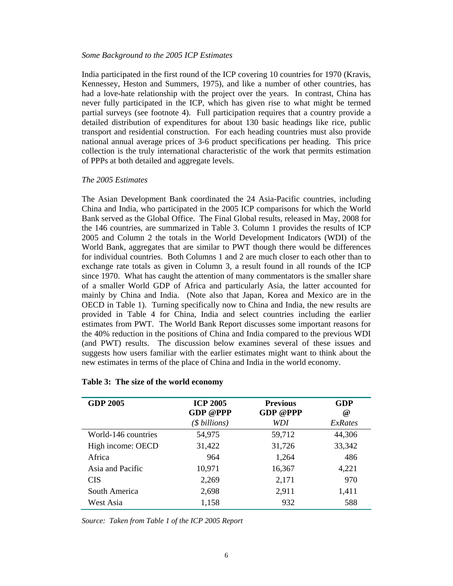#### *Some Background to the 2005 ICP Estimates*

India participated in the first round of the ICP covering 10 countries for 1970 (Kravis, Kennessey, Heston and Summers, 1975), and like a number of other countries, has had a love-hate relationship with the project over the years. In contrast, China has never fully participated in the ICP, which has given rise to what might be termed partial surveys (see footnote 4). Full participation requires that a country provide a detailed distribution of expenditures for about 130 basic headings like rice, public transport and residential construction. For each heading countries must also provide national annual average prices of 3-6 product specifications per heading. This price collection is the truly international characteristic of the work that permits estimation of PPPs at both detailed and aggregate levels.

#### *The 2005 Estimates*

The Asian Development Bank coordinated the 24 Asia-Pacific countries, including China and India, who participated in the 2005 ICP comparisons for which the World Bank served as the Global Office. The Final Global results, released in May, 2008 for the 146 countries, are summarized in Table 3. Column 1 provides the results of ICP 2005 and Column 2 the totals in the World Development Indicators (WDI) of the World Bank, aggregates that are similar to PWT though there would be differences for individual countries. Both Columns 1 and 2 are much closer to each other than to exchange rate totals as given in Column 3, a result found in all rounds of the ICP since 1970. What has caught the attention of many commentators is the smaller share of a smaller World GDP of Africa and particularly Asia, the latter accounted for mainly by China and India. (Note also that Japan, Korea and Mexico are in the OECD in Table 1). Turning specifically now to China and India, the new results are provided in Table 4 for China, India and select countries including the earlier estimates from PWT. The World Bank Report discusses some important reasons for the 40% reduction in the positions of China and India compared to the previous WDI (and PWT) results. The discussion below examines several of these issues and suggests how users familiar with the earlier estimates might want to think about the new estimates in terms of the place of China and India in the world economy.

| <b>GDP 2005</b>     | <b>ICP 2005</b> | <b>Previous</b> | <b>GDP</b>     |
|---------------------|-----------------|-----------------|----------------|
|                     | <b>GDP</b> @PPP | <b>GDP</b> @PPP | $\omega$       |
|                     | (\$ billions)   | WDI             | <i>ExRates</i> |
| World-146 countries | 54,975          | 59,712          | 44,306         |
| High income: OECD   | 31,422          | 31,726          | 33,342         |
| Africa              | 964             | 1,264           | 486            |
| Asia and Pacific    | 10,971          | 16,367          | 4,221          |
| <b>CIS</b>          | 2,269           | 2,171           | 970            |
| South America       | 2,698           | 2,911           | 1,411          |
| West Asia           | 1,158           | 932             | 588            |

#### **Table 3: The size of the world economy**

*Source: Taken from Table 1 of the ICP 2005 Report*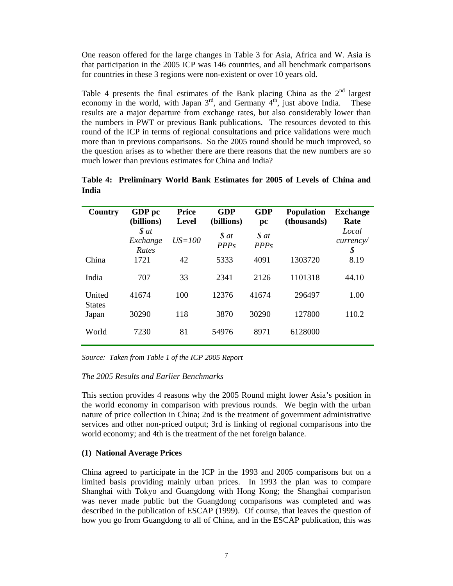One reason offered for the large changes in Table 3 for Asia, Africa and W. Asia is that participation in the 2005 ICP was 146 countries, and all benchmark comparisons for countries in these 3 regions were non-existent or over 10 years old.

Table 4 presents the final estimates of the Bank placing China as the  $2<sup>nd</sup>$  largest economy in the world, with Japan  $3^{rd}$ , and Germany  $4^{th}$ , just above India. These results are a major departure from exchange rates, but also considerably lower than the numbers in PWT or previous Bank publications. The resources devoted to this round of the ICP in terms of regional consultations and price validations were much more than in previous comparisons. So the 2005 round should be much improved, so the question arises as to whether there are there reasons that the new numbers are so much lower than previous estimates for China and India?

| Country                | GDP pc<br>(billions)       | <b>Price</b><br>Level | <b>GDP</b><br>(billions) | <b>GDP</b><br>pc            | <b>Population</b><br>(thousands) | <b>Exchange</b><br>Rate  |
|------------------------|----------------------------|-----------------------|--------------------------|-----------------------------|----------------------------------|--------------------------|
|                        | \$ at<br>Exchange<br>Rates | $US=100$              | $\mathcal{S}$ at<br>PPPs | $\mathfrak{g}_{at}$<br>PPPs |                                  | Local<br>curvency/<br>\$ |
| China                  | 1721                       | 42                    | 5333                     | 4091                        | 1303720                          | 8.19                     |
| India                  | 707                        | 33                    | 2341                     | 2126                        | 1101318                          | 44.10                    |
| United                 | 41674                      | 100                   | 12376                    | 41674                       | 296497                           | 1.00                     |
| <b>States</b><br>Japan | 30290                      | 118                   | 3870                     | 30290                       | 127800                           | 110.2                    |
| World                  | 7230                       | 81                    | 54976                    | 8971                        | 6128000                          |                          |
|                        |                            |                       |                          |                             |                                  |                          |

|       | Table 4: Preliminary World Bank Estimates for 2005 of Levels of China and |  |  |  |  |  |
|-------|---------------------------------------------------------------------------|--|--|--|--|--|
| India |                                                                           |  |  |  |  |  |

*Source: Taken from Table 1 of the ICP 2005 Report*

#### *The 2005 Results and Earlier Benchmarks*

This section provides 4 reasons why the 2005 Round might lower Asia's position in the world economy in comparison with previous rounds. We begin with the urban nature of price collection in China; 2nd is the treatment of government administrative services and other non-priced output; 3rd is linking of regional comparisons into the world economy; and 4th is the treatment of the net foreign balance.

#### **(1) National Average Prices**

China agreed to participate in the ICP in the 1993 and 2005 comparisons but on a limited basis providing mainly urban prices. In 1993 the plan was to compare Shanghai with Tokyo and Guangdong with Hong Kong; the Shanghai comparison was never made public but the Guangdong comparisons was completed and was described in the publication of ESCAP (1999). Of course, that leaves the question of how you go from Guangdong to all of China, and in the ESCAP publication, this was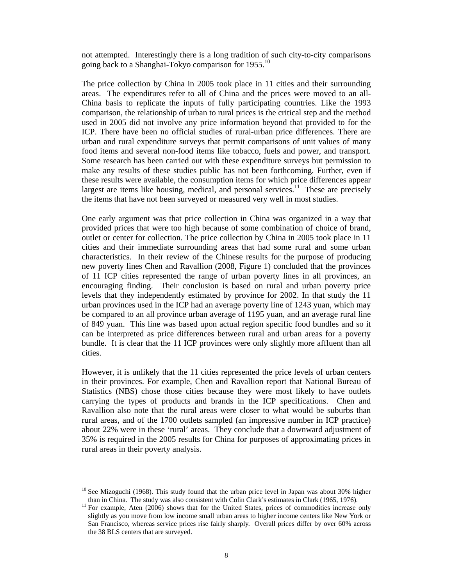not attempted. Interestingly there is a long tradition of such city-to-city comparisons going back to a Shanghai-Tokyo comparison for 1955.<sup>10</sup>

The price collection by China in 2005 took place in 11 cities and their surrounding areas. The expenditures refer to all of China and the prices were moved to an all-China basis to replicate the inputs of fully participating countries. Like the 1993 comparison, the relationship of urban to rural prices is the critical step and the method used in 2005 did not involve any price information beyond that provided to for the ICP. There have been no official studies of rural-urban price differences. There are urban and rural expenditure surveys that permit comparisons of unit values of many food items and several non-food items like tobacco, fuels and power, and transport. Some research has been carried out with these expenditure surveys but permission to make any results of these studies public has not been forthcoming. Further, even if these results were available, the consumption items for which price differences appear largest are items like housing, medical, and personal services.<sup>11</sup> These are precisely the items that have not been surveyed or measured very well in most studies.

One early argument was that price collection in China was organized in a way that provided prices that were too high because of some combination of choice of brand, outlet or center for collection. The price collection by China in 2005 took place in 11 cities and their immediate surrounding areas that had some rural and some urban characteristics. In their review of the Chinese results for the purpose of producing new poverty lines Chen and Ravallion (2008, Figure 1) concluded that the provinces of 11 ICP cities represented the range of urban poverty lines in all provinces, an encouraging finding. Their conclusion is based on rural and urban poverty price levels that they independently estimated by province for 2002. In that study the 11 urban provinces used in the ICP had an average poverty line of 1243 yuan, which may be compared to an all province urban average of 1195 yuan, and an average rural line of 849 yuan. This line was based upon actual region specific food bundles and so it can be interpreted as price differences between rural and urban areas for a poverty bundle. It is clear that the 11 ICP provinces were only slightly more affluent than all cities.

However, it is unlikely that the 11 cities represented the price levels of urban centers in their provinces. For example, Chen and Ravallion report that National Bureau of Statistics (NBS) chose those cities because they were most likely to have outlets carrying the types of products and brands in the ICP specifications. Chen and Ravallion also note that the rural areas were closer to what would be suburbs than rural areas, and of the 1700 outlets sampled (an impressive number in ICP practice) about 22% were in these 'rural' areas. They conclude that a downward adjustment of 35% is required in the 2005 results for China for purposes of approximating prices in rural areas in their poverty analysis.

<sup>&</sup>lt;sup>10</sup> See Mizoguchi (1968). This study found that the urban price level in Japan was about 30% higher

than in China. The study was also consistent with Colin Clark's estimates in Clark (1965, 1976).<br><sup>11</sup> For example, Aten (2006) shows that for the United States, prices of commodities increase only slightly as you move from low income small urban areas to higher income centers like New York or San Francisco, whereas service prices rise fairly sharply. Overall prices differ by over 60% across the 38 BLS centers that are surveyed.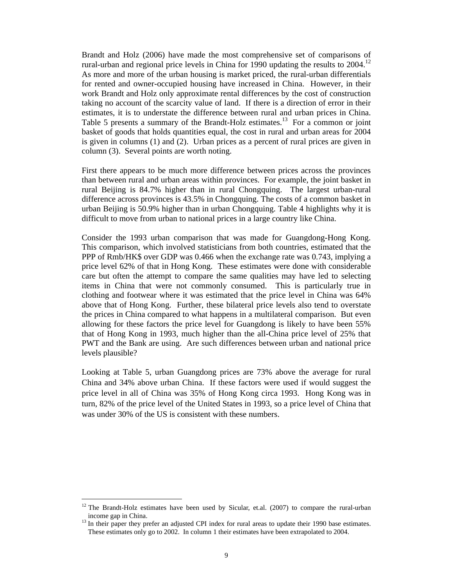Brandt and Holz (2006) have made the most comprehensive set of comparisons of rural-urban and regional price levels in China for 1990 updating the results to  $2004$ <sup>12</sup> As more and more of the urban housing is market priced, the rural-urban differentials for rented and owner-occupied housing have increased in China. However, in their work Brandt and Holz only approximate rental differences by the cost of construction taking no account of the scarcity value of land. If there is a direction of error in their estimates, it is to understate the difference between rural and urban prices in China. Table 5 presents a summary of the Brandt-Holz estimates.<sup>13</sup> For a common or joint basket of goods that holds quantities equal, the cost in rural and urban areas for 2004 is given in columns (1) and (2). Urban prices as a percent of rural prices are given in column (3). Several points are worth noting.

First there appears to be much more difference between prices across the provinces than between rural and urban areas within provinces. For example, the joint basket in rural Beijing is 84.7% higher than in rural Chongquing. The largest urban-rural difference across provinces is 43.5% in Chongquing. The costs of a common basket in urban Beijing is 50.9% higher than in urban Chongquing. Table 4 highlights why it is difficult to move from urban to national prices in a large country like China.

Consider the 1993 urban comparison that was made for Guangdong-Hong Kong. This comparison, which involved statisticians from both countries, estimated that the PPP of Rmb/HK\$ over GDP was 0.466 when the exchange rate was 0.743, implying a price level 62% of that in Hong Kong. These estimates were done with considerable care but often the attempt to compare the same qualities may have led to selecting items in China that were not commonly consumed. This is particularly true in clothing and footwear where it was estimated that the price level in China was 64% above that of Hong Kong. Further, these bilateral price levels also tend to overstate the prices in China compared to what happens in a multilateral comparison. But even allowing for these factors the price level for Guangdong is likely to have been 55% that of Hong Kong in 1993, much higher than the all-China price level of 25% that PWT and the Bank are using. Are such differences between urban and national price levels plausible?

Looking at Table 5, urban Guangdong prices are 73% above the average for rural China and 34% above urban China. If these factors were used if would suggest the price level in all of China was 35% of Hong Kong circa 1993. Hong Kong was in turn, 82% of the price level of the United States in 1993, so a price level of China that was under 30% of the US is consistent with these numbers.

<sup>&</sup>lt;sup>12</sup> The Brandt-Holz estimates have been used by Sicular, et.al.  $(2007)$  to compare the rural-urban

income gap in China.<br><sup>13</sup> In their paper they prefer an adjusted CPI index for rural areas to update their 1990 base estimates. These estimates only go to 2002. In column 1 their estimates have been extrapolated to 2004.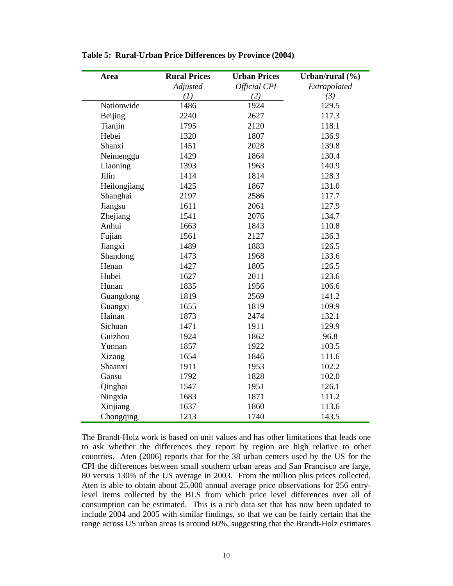| Area         | <b>Rural Prices</b> | <b>Urban Prices</b> | Urban/rural (%) |
|--------------|---------------------|---------------------|-----------------|
|              | Adjusted            | Official CPI        | Extrapolated    |
|              | (I)                 | (2)                 | (3)             |
| Nationwide   | 1486                | 1924                | 129.5           |
| Beijing      | 2240                | 2627                | 117.3           |
| Tianjin      | 1795                | 2120                | 118.1           |
| Hebei        | 1320                | 1807                | 136.9           |
| Shanxi       | 1451                | 2028                | 139.8           |
| Neimenggu    | 1429                | 1864                | 130.4           |
| Liaoning     | 1393                | 1963                | 140.9           |
| Jilin        | 1414                | 1814                | 128.3           |
| Heilongjiang | 1425                | 1867                | 131.0           |
| Shanghai     | 2197                | 2586                | 117.7           |
| Jiangsu      | 1611                | 2061                | 127.9           |
| Zhejiang     | 1541                | 2076                | 134.7           |
| Anhui        | 1663                | 1843                | 110.8           |
| Fujian       | 1561                | 2127                | 136.3           |
| Jiangxi      | 1489                | 1883                | 126.5           |
| Shandong     | 1473                | 1968                | 133.6           |
| Henan        | 1427                | 1805                | 126.5           |
| Hubei        | 1627                | 2011                | 123.6           |
| Hunan        | 1835                | 1956                | 106.6           |
| Guangdong    | 1819                | 2569                | 141.2           |
| Guangxi      | 1655                | 1819                | 109.9           |
| Hainan       | 1873                | 2474                | 132.1           |
| Sichuan      | 1471                | 1911                | 129.9           |
| Guizhou      | 1924                | 1862                | 96.8            |
| Yunnan       | 1857                | 1922                | 103.5           |
| Xizang       | 1654                | 1846                | 111.6           |
| Shaanxi      | 1911                | 1953                | 102.2           |
| Gansu        | 1792                | 1828                | 102.0           |
| Qinghai      | 1547                | 1951                | 126.1           |
| Ningxia      | 1683                | 1871                | 111.2           |
| Xinjiang     | 1637                | 1860                | 113.6           |
| Chongqing    | 1213                | 1740                | 143.5           |

**Table 5: Rural-Urban Price Differences by Province (2004)** 

The Brandt-Holz work is based on unit values and has other limitations that leads one to ask whether the differences they report by region are high relative to other countries. Aten (2006) reports that for the 38 urban centers used by the US for the CPI the differences between small southern urban areas and San Francisco are large, 80 versus 130% of the US average in 2003. From the million plus prices collected, Aten is able to obtain about 25,000 annual average price observations for 256 entrylevel items collected by the BLS from which price level differences over all of consumption can be estimated. This is a rich data set that has now been updated to include 2004 and 2005 with similar findings, so that we can be fairly certain that the range across US urban areas is around 60%, suggesting that the Brandt-Holz estimates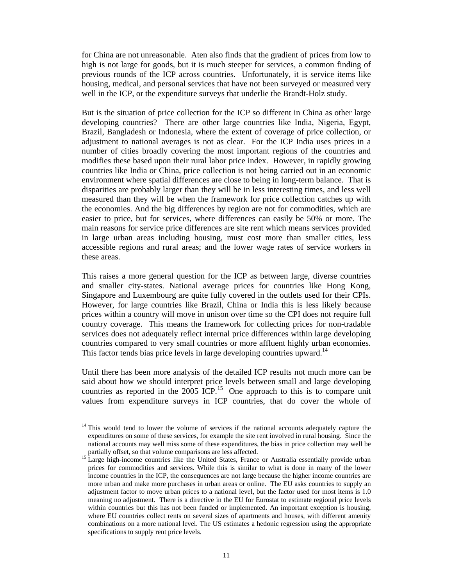for China are not unreasonable. Aten also finds that the gradient of prices from low to high is not large for goods, but it is much steeper for services, a common finding of previous rounds of the ICP across countries. Unfortunately, it is service items like housing, medical, and personal services that have not been surveyed or measured very well in the ICP, or the expenditure surveys that underlie the Brandt-Holz study.

But is the situation of price collection for the ICP so different in China as other large developing countries? There are other large countries like India, Nigeria, Egypt, Brazil, Bangladesh or Indonesia, where the extent of coverage of price collection, or adjustment to national averages is not as clear. For the ICP India uses prices in a number of cities broadly covering the most important regions of the countries and modifies these based upon their rural labor price index. However, in rapidly growing countries like India or China, price collection is not being carried out in an economic environment where spatial differences are close to being in long-term balance. That is disparities are probably larger than they will be in less interesting times, and less well measured than they will be when the framework for price collection catches up with the economies. And the big differences by region are not for commodities, which are easier to price, but for services, where differences can easily be 50% or more. The main reasons for service price differences are site rent which means services provided in large urban areas including housing, must cost more than smaller cities, less accessible regions and rural areas; and the lower wage rates of service workers in these areas.

This raises a more general question for the ICP as between large, diverse countries and smaller city-states. National average prices for countries like Hong Kong, Singapore and Luxembourg are quite fully covered in the outlets used for their CPIs. However, for large countries like Brazil, China or India this is less likely because prices within a country will move in unison over time so the CPI does not require full country coverage. This means the framework for collecting prices for non-tradable services does not adequately reflect internal price differences within large developing countries compared to very small countries or more affluent highly urban economies. This factor tends bias price levels in large developing countries upward.<sup>14</sup>

Until there has been more analysis of the detailed ICP results not much more can be said about how we should interpret price levels between small and large developing countries as reported in the  $2005$  ICP.<sup>15</sup> One approach to this is to compare unit values from expenditure surveys in ICP countries, that do cover the whole of

<sup>&</sup>lt;sup>14</sup> This would tend to lower the volume of services if the national accounts adequately capture the expenditures on some of these services, for example the site rent involved in rural housing. Since the national accounts may well miss some of these expenditures, the bias in price collection may well be partially offset, so that volume comparisons are less affected.

<sup>&</sup>lt;sup>15</sup> Large high-income countries like the United States, France or Australia essentially provide urban prices for commodities and services. While this is similar to what is done in many of the lower income countries in the ICP, the consequences are not large because the higher income countries are more urban and make more purchases in urban areas or online. The EU asks countries to supply an adjustment factor to move urban prices to a national level, but the factor used for most items is 1.0 meaning no adjustment. There is a directive in the EU for Eurostat to estimate regional price levels within countries but this has not been funded or implemented. An important exception is housing, where EU countries collect rents on several sizes of apartments and houses, with different amenity combinations on a more national level. The US estimates a hedonic regression using the appropriate specifications to supply rent price levels.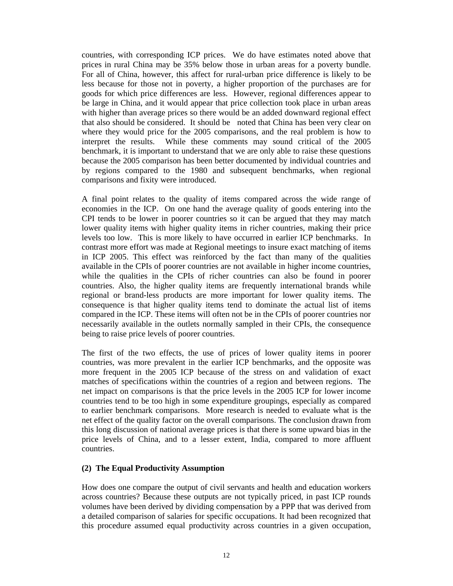countries, with corresponding ICP prices. We do have estimates noted above that prices in rural China may be 35% below those in urban areas for a poverty bundle. For all of China, however, this affect for rural-urban price difference is likely to be less because for those not in poverty, a higher proportion of the purchases are for goods for which price differences are less. However, regional differences appear to be large in China, and it would appear that price collection took place in urban areas with higher than average prices so there would be an added downward regional effect that also should be considered. It should be noted that China has been very clear on where they would price for the 2005 comparisons, and the real problem is how to interpret the results. While these comments may sound critical of the 2005 benchmark, it is important to understand that we are only able to raise these questions because the 2005 comparison has been better documented by individual countries and by regions compared to the 1980 and subsequent benchmarks, when regional comparisons and fixity were introduced.

A final point relates to the quality of items compared across the wide range of economies in the ICP. On one hand the average quality of goods entering into the CPI tends to be lower in poorer countries so it can be argued that they may match lower quality items with higher quality items in richer countries, making their price levels too low. This is more likely to have occurred in earlier ICP benchmarks. In contrast more effort was made at Regional meetings to insure exact matching of items in ICP 2005. This effect was reinforced by the fact than many of the qualities available in the CPIs of poorer countries are not available in higher income countries, while the qualities in the CPIs of richer countries can also be found in poorer countries. Also, the higher quality items are frequently international brands while regional or brand-less products are more important for lower quality items. The consequence is that higher quality items tend to dominate the actual list of items compared in the ICP. These items will often not be in the CPIs of poorer countries nor necessarily available in the outlets normally sampled in their CPIs, the consequence being to raise price levels of poorer countries.

The first of the two effects, the use of prices of lower quality items in poorer countries, was more prevalent in the earlier ICP benchmarks, and the opposite was more frequent in the 2005 ICP because of the stress on and validation of exact matches of specifications within the countries of a region and between regions. The net impact on comparisons is that the price levels in the 2005 ICP for lower income countries tend to be too high in some expenditure groupings, especially as compared to earlier benchmark comparisons. More research is needed to evaluate what is the net effect of the quality factor on the overall comparisons. The conclusion drawn from this long discussion of national average prices is that there is some upward bias in the price levels of China, and to a lesser extent, India, compared to more affluent countries.

#### **(2) The Equal Productivity Assumption**

How does one compare the output of civil servants and health and education workers across countries? Because these outputs are not typically priced, in past ICP rounds volumes have been derived by dividing compensation by a PPP that was derived from a detailed comparison of salaries for specific occupations. It had been recognized that this procedure assumed equal productivity across countries in a given occupation,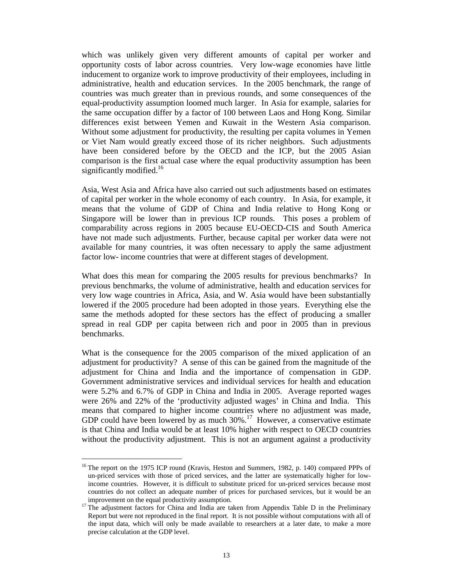which was unlikely given very different amounts of capital per worker and opportunity costs of labor across countries. Very low-wage economies have little inducement to organize work to improve productivity of their employees, including in administrative, health and education services. In the 2005 benchmark, the range of countries was much greater than in previous rounds, and some consequences of the equal-productivity assumption loomed much larger. In Asia for example, salaries for the same occupation differ by a factor of 100 between Laos and Hong Kong. Similar differences exist between Yemen and Kuwait in the Western Asia comparison. Without some adjustment for productivity, the resulting per capita volumes in Yemen or Viet Nam would greatly exceed those of its richer neighbors. Such adjustments have been considered before by the OECD and the ICP, but the 2005 Asian comparison is the first actual case where the equal productivity assumption has been significantly modified.<sup>16</sup>

Asia, West Asia and Africa have also carried out such adjustments based on estimates of capital per worker in the whole economy of each country. In Asia, for example, it means that the volume of GDP of China and India relative to Hong Kong or Singapore will be lower than in previous ICP rounds. This poses a problem of comparability across regions in 2005 because EU-OECD-CIS and South America have not made such adjustments. Further, because capital per worker data were not available for many countries, it was often necessary to apply the same adjustment factor low- income countries that were at different stages of development.

What does this mean for comparing the 2005 results for previous benchmarks? In previous benchmarks, the volume of administrative, health and education services for very low wage countries in Africa, Asia, and W. Asia would have been substantially lowered if the 2005 procedure had been adopted in those years. Everything else the same the methods adopted for these sectors has the effect of producing a smaller spread in real GDP per capita between rich and poor in 2005 than in previous benchmarks.

What is the consequence for the 2005 comparison of the mixed application of an adjustment for productivity? A sense of this can be gained from the magnitude of the adjustment for China and India and the importance of compensation in GDP. Government administrative services and individual services for health and education were 5.2% and 6.7% of GDP in China and India in 2005. Average reported wages were 26% and 22% of the 'productivity adjusted wages' in China and India. This means that compared to higher income countries where no adjustment was made, GDP could have been lowered by as much  $30\%$ .<sup>17</sup> However, a conservative estimate is that China and India would be at least 10% higher with respect to OECD countries without the productivity adjustment. This is not an argument against a productivity

<sup>&</sup>lt;sup>16</sup> The report on the 1975 ICP round (Kravis, Heston and Summers, 1982, p. 140) compared PPPs of un-priced services with those of priced services, and the latter are systematically higher for lowincome countries. However, it is difficult to substitute priced for un-priced services because most countries do not collect an adequate number of prices for purchased services, but it would be an

improvement on the equal productivity assumption.<br><sup>17</sup> The adjustment factors for China and India are taken from Appendix Table D in the Preliminary Report but were not reproduced in the final report. It is not possible without computations with all of the input data, which will only be made available to researchers at a later date, to make a more precise calculation at the GDP level.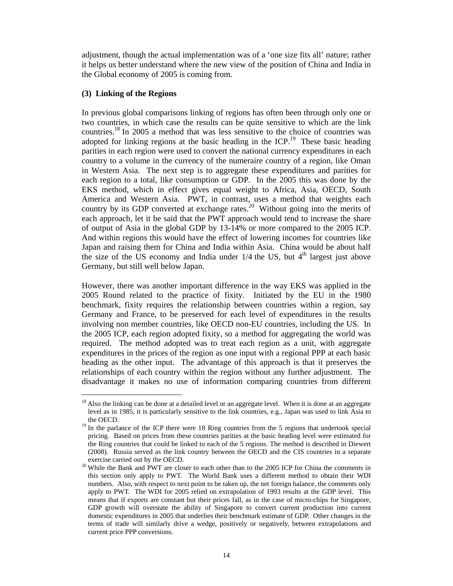adjustment, though the actual implementation was of a 'one size fits all' nature; rather it helps us better understand where the new view of the position of China and India in the Global economy of 2005 is coming from.

#### **(3) Linking of the Regions**

In previous global comparisons linking of regions has often been through only one or two countries, in which case the results can be quite sensitive to which are the link countries.18 In 2005 a method that was less sensitive to the choice of countries was adopted for linking regions at the basic heading in the ICP.<sup>19</sup> These basic heading parities in each region were used to convert the national currency expenditures in each country to a volume in the currency of the numeraire country of a region, like Oman in Western Asia. The next step is to aggregate these expenditures and parities for each region to a total, like consumption or GDP. In the 2005 this was done by the EKS method, which in effect gives equal weight to Africa, Asia, OECD, South America and Western Asia. PWT, in contrast, uses a method that weights each country by its GDP converted at exchange rates.<sup>20</sup> Without going into the merits of each approach, let it be said that the PWT approach would tend to increase the share of output of Asia in the global GDP by 13-14% or more compared to the 2005 ICP. And within regions this would have the effect of lowering incomes for countries like Japan and raising them for China and India within Asia. China would be about half the size of the US economy and India under  $1/4$  the US, but  $4<sup>th</sup>$  largest just above Germany, but still well below Japan.

However, there was another important difference in the way EKS was applied in the 2005 Round related to the practice of fixity. Initiated by the EU in the 1980 benchmark, fixity requires the relationship between countries within a region, say Germany and France, to be preserved for each level of expenditures in the results involving non member countries, like OECD non-EU countries, including the US. In the 2005 ICP, each region adopted fixity, so a method for aggregating the world was required. The method adopted was to treat each region as a unit, with aggregate expenditures in the prices of the region as one input with a regional PPP at each basic heading as the other input. The advantage of this approach is that it preserves the relationships of each country within the region without any further adjustment. The disadvantage it makes no use of information comparing countries from different

<sup>&</sup>lt;sup>18</sup> Also the linking can be done at a detailed level or an aggregate level. When it is done at an aggregate level as in 1985, it is particularly sensitive to the link countries, e.g., Japan was used to link Asia to

the OECD.<br><sup>19</sup> In the parlance of the ICP there were 18 Ring countries from the 5 regions that undertook special pricing. Based on prices from these countries parities at the basic heading level were estimated for the Ring countries that could be linked to each of the 5 regions. The method is described in Diewert (2008). Russia served as the link country between the OECD and the CIS countries in a separate

exercise carried out by the OECD.<br><sup>20</sup> While the Bank and PWT are closer to each other than to the 2005 ICP for China the comments in this section only apply to PWT. The World Bank uses a different method to obtain their WDI numbers. Also, with respect to next point to be taken up, the net foreign balance, the comments only apply to PWT. The WDI for 2005 relied on extrapolation of 1993 results at the GDP level. This means that if exports are constant but their prices fall, as in the case of micro-chips for Singapore, GDP growth will overstate the ability of Singapore to convert current production into current domestic expenditures in 2005 that underlies their benchmark estimate of GDP. Other changes in the terms of trade will similarly drive a wedge, positively or negatively, between extrapolations and current price PPP conversions.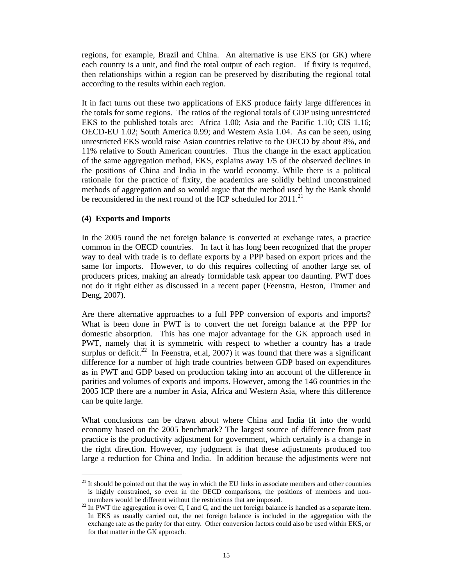regions, for example, Brazil and China. An alternative is use EKS (or GK) where each country is a unit, and find the total output of each region. If fixity is required, then relationships within a region can be preserved by distributing the regional total according to the results within each region.

It in fact turns out these two applications of EKS produce fairly large differences in the totals for some regions. The ratios of the regional totals of GDP using unrestricted EKS to the published totals are: Africa 1.00; Asia and the Pacific 1.10; CIS 1.16; OECD-EU 1.02; South America 0.99; and Western Asia 1.04. As can be seen, using unrestricted EKS would raise Asian countries relative to the OECD by about 8%, and 11% relative to South American countries. Thus the change in the exact application of the same aggregation method, EKS, explains away 1/5 of the observed declines in the positions of China and India in the world economy. While there is a political rationale for the practice of fixity, the academics are solidly behind unconstrained methods of aggregation and so would argue that the method used by the Bank should be reconsidered in the next round of the ICP scheduled for  $2011$ <sup>21</sup>

#### **(4) Exports and Imports**

 $\overline{a}$ 

In the 2005 round the net foreign balance is converted at exchange rates, a practice common in the OECD countries. In fact it has long been recognized that the proper way to deal with trade is to deflate exports by a PPP based on export prices and the same for imports. However, to do this requires collecting of another large set of producers prices, making an already formidable task appear too daunting. PWT does not do it right either as discussed in a recent paper (Feenstra, Heston, Timmer and Deng, 2007).

Are there alternative approaches to a full PPP conversion of exports and imports? What is been done in PWT is to convert the net foreign balance at the PPP for domestic absorption. This has one major advantage for the GK approach used in PWT, namely that it is symmetric with respect to whether a country has a trade surplus or deficit.<sup>22</sup> In Feenstra, et.al, 2007) it was found that there was a significant difference for a number of high trade countries between GDP based on expenditures as in PWT and GDP based on production taking into an account of the difference in parities and volumes of exports and imports. However, among the 146 countries in the 2005 ICP there are a number in Asia, Africa and Western Asia, where this difference can be quite large.

What conclusions can be drawn about where China and India fit into the world economy based on the 2005 benchmark? The largest source of difference from past practice is the productivity adjustment for government, which certainly is a change in the right direction. However, my judgment is that these adjustments produced too large a reduction for China and India. In addition because the adjustments were not

 $21$  It should be pointed out that the way in which the EU links in associate members and other countries is highly constrained, so even in the OECD comparisons, the positions of members and non-

members would be different without the restrictions that are imposed.<br><sup>22</sup> In PWT the aggregation is over C, I and G, and the net foreign balance is handled as a separate item. In EKS as usually carried out, the net foreign balance is included in the aggregation with the exchange rate as the parity for that entry. Other conversion factors could also be used within EKS, or for that matter in the GK approach.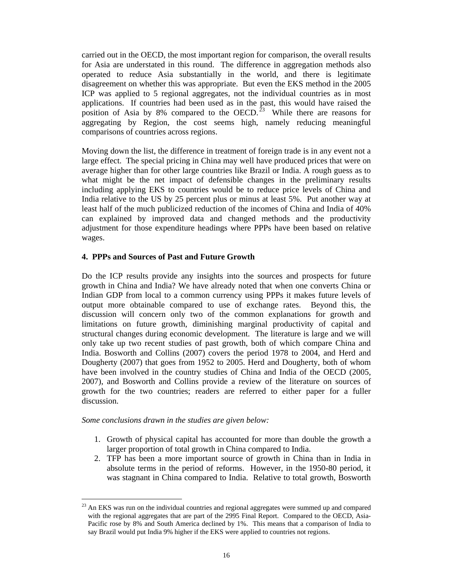carried out in the OECD, the most important region for comparison, the overall results for Asia are understated in this round. The difference in aggregation methods also operated to reduce Asia substantially in the world, and there is legitimate disagreement on whether this was appropriate. But even the EKS method in the 2005 ICP was applied to 5 regional aggregates, not the individual countries as in most applications. If countries had been used as in the past, this would have raised the position of Asia by 8% compared to the OECD.<sup>23</sup> While there are reasons for aggregating by Region, the cost seems high, namely reducing meaningful comparisons of countries across regions.

Moving down the list, the difference in treatment of foreign trade is in any event not a large effect. The special pricing in China may well have produced prices that were on average higher than for other large countries like Brazil or India. A rough guess as to what might be the net impact of defensible changes in the preliminary results including applying EKS to countries would be to reduce price levels of China and India relative to the US by 25 percent plus or minus at least 5%. Put another way at least half of the much publicized reduction of the incomes of China and India of 40% can explained by improved data and changed methods and the productivity adjustment for those expenditure headings where PPPs have been based on relative wages.

#### **4. PPPs and Sources of Past and Future Growth**

Do the ICP results provide any insights into the sources and prospects for future growth in China and India? We have already noted that when one converts China or Indian GDP from local to a common currency using PPPs it makes future levels of output more obtainable compared to use of exchange rates. Beyond this, the discussion will concern only two of the common explanations for growth and limitations on future growth, diminishing marginal productivity of capital and structural changes during economic development. The literature is large and we will only take up two recent studies of past growth, both of which compare China and India. Bosworth and Collins (2007) covers the period 1978 to 2004, and Herd and Dougherty (2007) that goes from 1952 to 2005. Herd and Dougherty, both of whom have been involved in the country studies of China and India of the OECD (2005, 2007), and Bosworth and Collins provide a review of the literature on sources of growth for the two countries; readers are referred to either paper for a fuller discussion.

*Some conclusions drawn in the studies are given below:* 

- 1. Growth of physical capital has accounted for more than double the growth a larger proportion of total growth in China compared to India.
- 2. TFP has been a more important source of growth in China than in India in absolute terms in the period of reforms. However, in the 1950-80 period, it was stagnant in China compared to India. Relative to total growth, Bosworth

 $^{23}$  An EKS was run on the individual countries and regional aggregates were summed up and compared with the regional aggregates that are part of the 2995 Final Report. Compared to the OECD, Asia-Pacific rose by 8% and South America declined by 1%. This means that a comparison of India to say Brazil would put India 9% higher if the EKS were applied to countries not regions.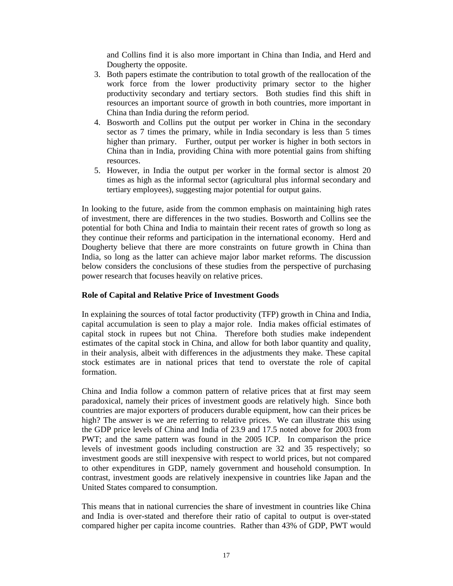and Collins find it is also more important in China than India, and Herd and Dougherty the opposite.

- 3. Both papers estimate the contribution to total growth of the reallocation of the work force from the lower productivity primary sector to the higher productivity secondary and tertiary sectors. Both studies find this shift in resources an important source of growth in both countries, more important in China than India during the reform period.
- 4. Bosworth and Collins put the output per worker in China in the secondary sector as 7 times the primary, while in India secondary is less than 5 times higher than primary. Further, output per worker is higher in both sectors in China than in India, providing China with more potential gains from shifting resources.
- 5. However, in India the output per worker in the formal sector is almost 20 times as high as the informal sector (agricultural plus informal secondary and tertiary employees), suggesting major potential for output gains.

In looking to the future, aside from the common emphasis on maintaining high rates of investment, there are differences in the two studies. Bosworth and Collins see the potential for both China and India to maintain their recent rates of growth so long as they continue their reforms and participation in the international economy. Herd and Dougherty believe that there are more constraints on future growth in China than India, so long as the latter can achieve major labor market reforms. The discussion below considers the conclusions of these studies from the perspective of purchasing power research that focuses heavily on relative prices.

#### **Role of Capital and Relative Price of Investment Goods**

In explaining the sources of total factor productivity (TFP) growth in China and India, capital accumulation is seen to play a major role. India makes official estimates of capital stock in rupees but not China. Therefore both studies make independent estimates of the capital stock in China, and allow for both labor quantity and quality, in their analysis, albeit with differences in the adjustments they make. These capital stock estimates are in national prices that tend to overstate the role of capital formation.

China and India follow a common pattern of relative prices that at first may seem paradoxical, namely their prices of investment goods are relatively high. Since both countries are major exporters of producers durable equipment, how can their prices be high? The answer is we are referring to relative prices. We can illustrate this using the GDP price levels of China and India of 23.9 and 17.5 noted above for 2003 from PWT; and the same pattern was found in the 2005 ICP. In comparison the price levels of investment goods including construction are 32 and 35 respectively; so investment goods are still inexpensive with respect to world prices, but not compared to other expenditures in GDP, namely government and household consumption. In contrast, investment goods are relatively inexpensive in countries like Japan and the United States compared to consumption.

This means that in national currencies the share of investment in countries like China and India is over-stated and therefore their ratio of capital to output is over-stated compared higher per capita income countries. Rather than 43% of GDP, PWT would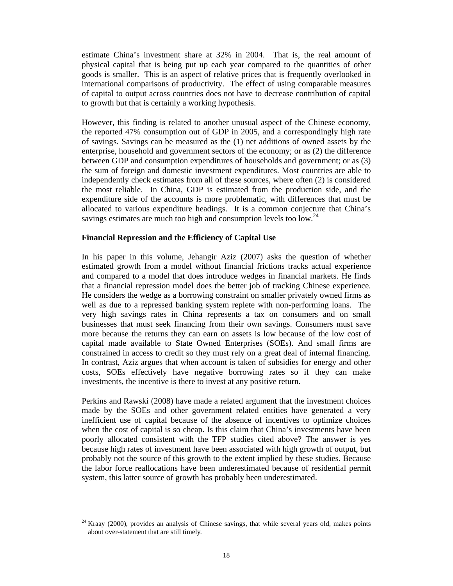estimate China's investment share at 32% in 2004. That is, the real amount of physical capital that is being put up each year compared to the quantities of other goods is smaller. This is an aspect of relative prices that is frequently overlooked in international comparisons of productivity. The effect of using comparable measures of capital to output across countries does not have to decrease contribution of capital to growth but that is certainly a working hypothesis.

However, this finding is related to another unusual aspect of the Chinese economy, the reported 47% consumption out of GDP in 2005, and a correspondingly high rate of savings. Savings can be measured as the (1) net additions of owned assets by the enterprise, household and government sectors of the economy; or as (2) the difference between GDP and consumption expenditures of households and government; or as (3) the sum of foreign and domestic investment expenditures. Most countries are able to independently check estimates from all of these sources, where often (2) is considered the most reliable. In China, GDP is estimated from the production side, and the expenditure side of the accounts is more problematic, with differences that must be allocated to various expenditure headings. It is a common conjecture that China's savings estimates are much too high and consumption levels too low.<sup>24</sup>

#### **Financial Repression and the Efficiency of Capital Use**

In his paper in this volume, Jehangir Aziz (2007) asks the question of whether estimated growth from a model without financial frictions tracks actual experience and compared to a model that does introduce wedges in financial markets. He finds that a financial repression model does the better job of tracking Chinese experience. He considers the wedge as a borrowing constraint on smaller privately owned firms as well as due to a repressed banking system replete with non-performing loans. The very high savings rates in China represents a tax on consumers and on small businesses that must seek financing from their own savings. Consumers must save more because the returns they can earn on assets is low because of the low cost of capital made available to State Owned Enterprises (SOEs). And small firms are constrained in access to credit so they must rely on a great deal of internal financing. In contrast, Aziz argues that when account is taken of subsidies for energy and other costs, SOEs effectively have negative borrowing rates so if they can make investments, the incentive is there to invest at any positive return.

Perkins and Rawski (2008) have made a related argument that the investment choices made by the SOEs and other government related entities have generated a very inefficient use of capital because of the absence of incentives to optimize choices when the cost of capital is so cheap. Is this claim that China's investments have been poorly allocated consistent with the TFP studies cited above? The answer is yes because high rates of investment have been associated with high growth of output, but probably not the source of this growth to the extent implied by these studies. Because the labor force reallocations have been underestimated because of residential permit system, this latter source of growth has probably been underestimated.

 $24$  Kraay (2000), provides an analysis of Chinese savings, that while several years old, makes points about over-statement that are still timely.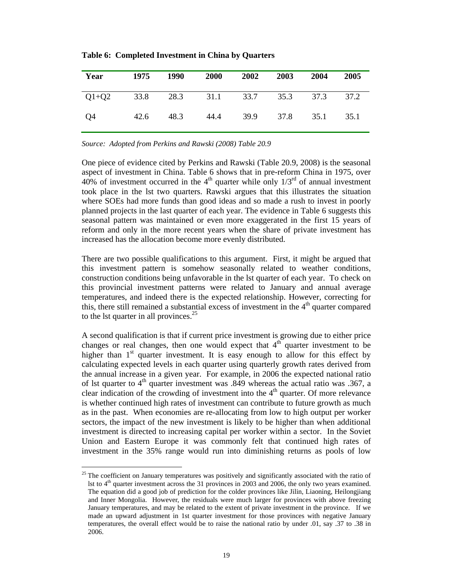| Year           | 1975 | 1990                          | 2000 | 2002 | 2003           | 2004 | 2005 |
|----------------|------|-------------------------------|------|------|----------------|------|------|
| $Q1+Q2$        |      | 33.8 28.3 31.1 33.7 35.3 37.3 |      |      |                |      | 37.2 |
| Q <sub>4</sub> | 42.6 | 48.3                          | 44.4 |      | 39.9 37.8 35.1 |      | 35.1 |

**Table 6: Completed Investment in China by Quarters**

*Source: Adopted from Perkins and Rawski (2008) Table 20.9* 

One piece of evidence cited by Perkins and Rawski (Table 20.9, 2008) is the seasonal aspect of investment in China. Table 6 shows that in pre-reform China in 1975, over  $40\%$  of investment occurred in the 4<sup>th</sup> quarter while only  $1/3^{rd}$  of annual investment took place in the lst two quarters. Rawski argues that this illustrates the situation where SOEs had more funds than good ideas and so made a rush to invest in poorly planned projects in the last quarter of each year. The evidence in Table 6 suggests this seasonal pattern was maintained or even more exaggerated in the first 15 years of reform and only in the more recent years when the share of private investment has increased has the allocation become more evenly distributed.

There are two possible qualifications to this argument. First, it might be argued that this investment pattern is somehow seasonally related to weather conditions, construction conditions being unfavorable in the lst quarter of each year. To check on this provincial investment patterns were related to January and annual average temperatures, and indeed there is the expected relationship. However, correcting for this, there still remained a substantial excess of investment in the 4<sup>th</sup> quarter compared to the lst quarter in all provinces. $25$ 

A second qualification is that if current price investment is growing due to either price changes or real changes, then one would expect that  $4<sup>th</sup>$  quarter investment to be higher than  $1<sup>st</sup>$  quarter investment. It is easy enough to allow for this effect by calculating expected levels in each quarter using quarterly growth rates derived from the annual increase in a given year. For example, in 2006 the expected national ratio of lst quarter to  $4<sup>th</sup>$  quarter investment was .849 whereas the actual ratio was .367, a clear indication of the crowding of investment into the  $4<sup>th</sup>$  quarter. Of more relevance is whether continued high rates of investment can contribute to future growth as much as in the past. When economies are re-allocating from low to high output per worker sectors, the impact of the new investment is likely to be higher than when additional investment is directed to increasing capital per worker within a sector. In the Soviet Union and Eastern Europe it was commonly felt that continued high rates of investment in the 35% range would run into diminishing returns as pools of low

 $25$  The coefficient on January temperatures was positively and significantly associated with the ratio of lst to  $4<sup>th</sup>$  quarter investment across the 31 provinces in 2003 and 2006, the only two years examined. The equation did a good job of prediction for the colder provinces like Jilin, Liaoning, Heilongjiang and Inner Mongolia. However, the residuals were much larger for provinces with above freezing January temperatures, and may be related to the extent of private investment in the province. If we made an upward adjustment in 1st quarter investment for those provinces with negative January temperatures, the overall effect would be to raise the national ratio by under .01, say .37 to .38 in 2006.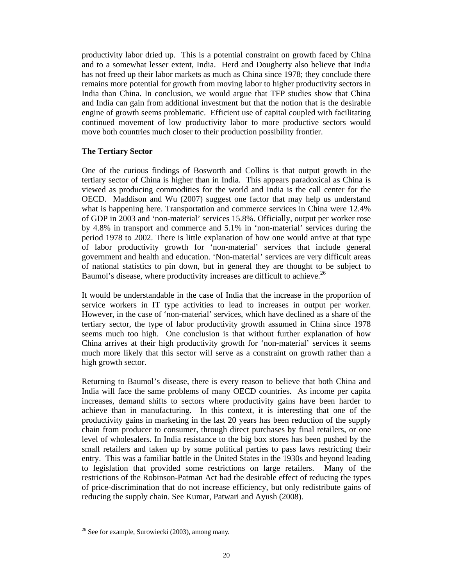productivity labor dried up. This is a potential constraint on growth faced by China and to a somewhat lesser extent, India. Herd and Dougherty also believe that India has not freed up their labor markets as much as China since 1978; they conclude there remains more potential for growth from moving labor to higher productivity sectors in India than China. In conclusion, we would argue that TFP studies show that China and India can gain from additional investment but that the notion that is the desirable engine of growth seems problematic. Efficient use of capital coupled with facilitating continued movement of low productivity labor to more productive sectors would move both countries much closer to their production possibility frontier.

#### **The Tertiary Sector**

One of the curious findings of Bosworth and Collins is that output growth in the tertiary sector of China is higher than in India. This appears paradoxical as China is viewed as producing commodities for the world and India is the call center for the OECD. Maddison and Wu (2007) suggest one factor that may help us understand what is happening here. Transportation and commerce services in China were 12.4% of GDP in 2003 and 'non-material' services 15.8%. Officially, output per worker rose by 4.8% in transport and commerce and 5.1% in 'non-material' services during the period 1978 to 2002. There is little explanation of how one would arrive at that type of labor productivity growth for 'non-material' services that include general government and health and education. 'Non-material' services are very difficult areas of national statistics to pin down, but in general they are thought to be subject to Baumol's disease, where productivity increases are difficult to achieve.<sup>26</sup>

It would be understandable in the case of India that the increase in the proportion of service workers in IT type activities to lead to increases in output per worker. However, in the case of 'non-material' services, which have declined as a share of the tertiary sector, the type of labor productivity growth assumed in China since 1978 seems much too high. One conclusion is that without further explanation of how China arrives at their high productivity growth for 'non-material' services it seems much more likely that this sector will serve as a constraint on growth rather than a high growth sector.

Returning to Baumol's disease, there is every reason to believe that both China and India will face the same problems of many OECD countries. As income per capita increases, demand shifts to sectors where productivity gains have been harder to achieve than in manufacturing. In this context, it is interesting that one of the productivity gains in marketing in the last 20 years has been reduction of the supply chain from producer to consumer, through direct purchases by final retailers, or one level of wholesalers. In India resistance to the big box stores has been pushed by the small retailers and taken up by some political parties to pass laws restricting their entry. This was a familiar battle in the United States in the 1930s and beyond leading to legislation that provided some restrictions on large retailers. Many of the restrictions of the Robinson-Patman Act had the desirable effect of reducing the types of price-discrimination that do not increase efficiency, but only redistribute gains of reducing the supply chain. See Kumar, Patwari and Ayush (2008).

<sup>&</sup>lt;sup>26</sup> See for example, Surowiecki (2003), among many.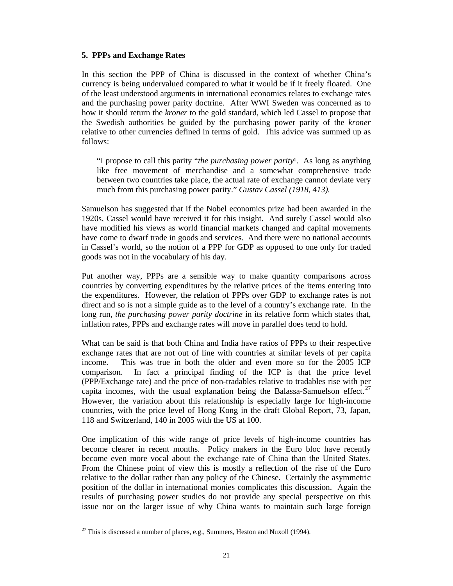#### **5. PPPs and Exchange Rates**

In this section the PPP of China is discussed in the context of whether China's currency is being undervalued compared to what it would be if it freely floated. One of the least understood arguments in international economics relates to exchange rates and the purchasing power parity doctrine. After WWI Sweden was concerned as to how it should return the *kroner* to the gold standard, which led Cassel to propose that the Swedish authorities be guided by the purchasing power parity of the *kroner*  relative to other currencies defined in terms of gold. This advice was summed up as follows:

"I propose to call this parity "*the purchasing power parity*<sup>1</sup>. As long as anything like free movement of merchandise and a somewhat comprehensive trade between two countries take place, the actual rate of exchange cannot deviate very much from this purchasing power parity." *Gustav Cassel (1918, 413).*

Samuelson has suggested that if the Nobel economics prize had been awarded in the 1920s, Cassel would have received it for this insight. And surely Cassel would also have modified his views as world financial markets changed and capital movements have come to dwarf trade in goods and services. And there were no national accounts in Cassel's world, so the notion of a PPP for GDP as opposed to one only for traded goods was not in the vocabulary of his day.

Put another way, PPPs are a sensible way to make quantity comparisons across countries by converting expenditures by the relative prices of the items entering into the expenditures. However, the relation of PPPs over GDP to exchange rates is not direct and so is not a simple guide as to the level of a country's exchange rate. In the long run, *the purchasing power parity doctrine* in its relative form which states that, inflation rates, PPPs and exchange rates will move in parallel does tend to hold.

What can be said is that both China and India have ratios of PPPs to their respective exchange rates that are not out of line with countries at similar levels of per capita income. This was true in both the older and even more so for the 2005 ICP comparison. In fact a principal finding of the ICP is that the price level (PPP/Exchange rate) and the price of non-tradables relative to tradables rise with per capita incomes, with the usual explanation being the Balassa-Samuelson effect.<sup>27</sup> However, the variation about this relationship is especially large for high-income countries, with the price level of Hong Kong in the draft Global Report, 73, Japan, 118 and Switzerland, 140 in 2005 with the US at 100.

One implication of this wide range of price levels of high-income countries has become clearer in recent months. Policy makers in the Euro bloc have recently become even more vocal about the exchange rate of China than the United States. From the Chinese point of view this is mostly a reflection of the rise of the Euro relative to the dollar rather than any policy of the Chinese. Certainly the asymmetric position of the dollar in international monies complicates this discussion. Again the results of purchasing power studies do not provide any special perspective on this issue nor on the larger issue of why China wants to maintain such large foreign

 $27$  This is discussed a number of places, e.g., Summers, Heston and Nuxoll (1994).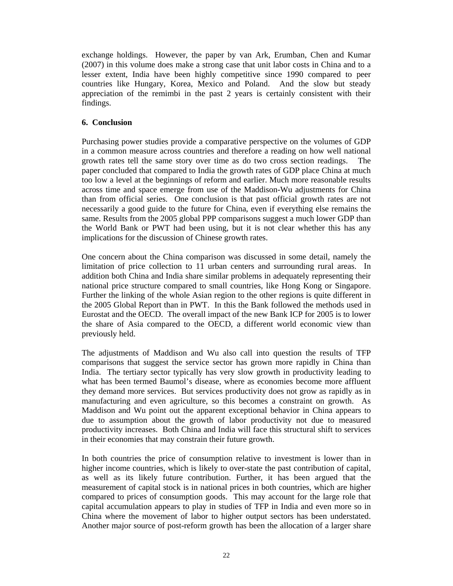exchange holdings. However, the paper by van Ark, Erumban, Chen and Kumar (2007) in this volume does make a strong case that unit labor costs in China and to a lesser extent, India have been highly competitive since 1990 compared to peer countries like Hungary, Korea, Mexico and Poland. And the slow but steady appreciation of the remimbi in the past 2 years is certainly consistent with their findings.

#### **6. Conclusion**

Purchasing power studies provide a comparative perspective on the volumes of GDP in a common measure across countries and therefore a reading on how well national growth rates tell the same story over time as do two cross section readings. The paper concluded that compared to India the growth rates of GDP place China at much too low a level at the beginnings of reform and earlier. Much more reasonable results across time and space emerge from use of the Maddison-Wu adjustments for China than from official series. One conclusion is that past official growth rates are not necessarily a good guide to the future for China, even if everything else remains the same. Results from the 2005 global PPP comparisons suggest a much lower GDP than the World Bank or PWT had been using, but it is not clear whether this has any implications for the discussion of Chinese growth rates.

One concern about the China comparison was discussed in some detail, namely the limitation of price collection to 11 urban centers and surrounding rural areas. In addition both China and India share similar problems in adequately representing their national price structure compared to small countries, like Hong Kong or Singapore. Further the linking of the whole Asian region to the other regions is quite different in the 2005 Global Report than in PWT. In this the Bank followed the methods used in Eurostat and the OECD. The overall impact of the new Bank ICP for 2005 is to lower the share of Asia compared to the OECD, a different world economic view than previously held.

The adjustments of Maddison and Wu also call into question the results of TFP comparisons that suggest the service sector has grown more rapidly in China than India. The tertiary sector typically has very slow growth in productivity leading to what has been termed Baumol's disease, where as economies become more affluent they demand more services. But services productivity does not grow as rapidly as in manufacturing and even agriculture, so this becomes a constraint on growth. As Maddison and Wu point out the apparent exceptional behavior in China appears to due to assumption about the growth of labor productivity not due to measured productivity increases. Both China and India will face this structural shift to services in their economies that may constrain their future growth.

In both countries the price of consumption relative to investment is lower than in higher income countries, which is likely to over-state the past contribution of capital, as well as its likely future contribution. Further, it has been argued that the measurement of capital stock is in national prices in both countries, which are higher compared to prices of consumption goods. This may account for the large role that capital accumulation appears to play in studies of TFP in India and even more so in China where the movement of labor to higher output sectors has been understated. Another major source of post-reform growth has been the allocation of a larger share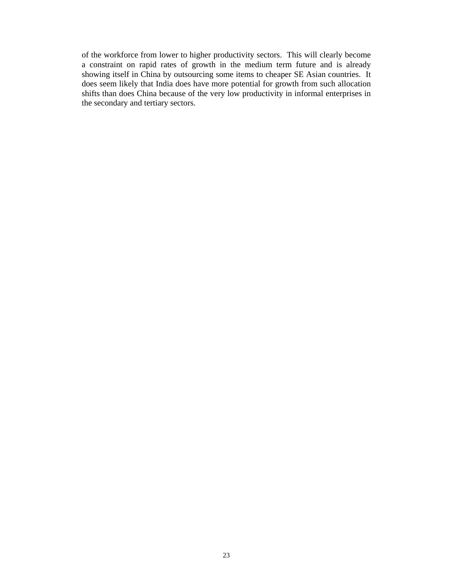of the workforce from lower to higher productivity sectors. This will clearly become a constraint on rapid rates of growth in the medium term future and is already showing itself in China by outsourcing some items to cheaper SE Asian countries. It does seem likely that India does have more potential for growth from such allocation shifts than does China because of the very low productivity in informal enterprises in the secondary and tertiary sectors.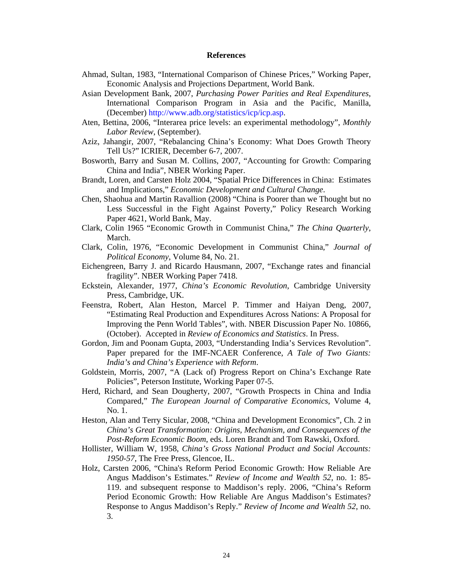#### **References**

- Ahmad, Sultan, 1983, "International Comparison of Chinese Prices," Working Paper, Economic Analysis and Projections Department, World Bank.
- Asian Development Bank, 2007, *Purchasing Power Parities and Real Expenditures*, International Comparison Program in Asia and the Pacific, Manilla, (December) http://www.adb.org/statistics/icp/icp.asp.
- Aten, Bettina, 2006, "Interarea price levels: an experimental methodology", *Monthly Labor Review*, (September).
- Aziz, Jahangir, 2007, "Rebalancing China's Economy: What Does Growth Theory Tell Us?" ICRIER, December 6-7, 2007.
- Bosworth, Barry and Susan M. Collins, 2007, "Accounting for Growth: Comparing China and India", NBER Working Paper.
- Brandt, Loren, and Carsten Holz 2004, "Spatial Price Differences in China: Estimates and Implications," *Economic Development and Cultural Change*.
- Chen, Shaohua and Martin Ravallion (2008) "China is Poorer than we Thought but no Less Successful in the Fight Against Poverty," Policy Research Working Paper 4621, World Bank, May.
- Clark, Colin 1965 "Economic Growth in Communist China," *The China Quarterly*, March.
- Clark, Colin, 1976, "Economic Development in Communist China," *Journal of Political Economy*, Volume 84, No. 21.
- Eichengreen, Barry J. and Ricardo Hausmann, 2007, "Exchange rates and financial fragility". NBER Working Paper 7418.
- Eckstein, Alexander, 1977, *China's Economic Revolution*, Cambridge University Press, Cambridge, UK.
- Feenstra, Robert, Alan Heston, Marcel P. Timmer and Haiyan Deng, 2007, "Estimating Real Production and Expenditures Across Nations: A Proposal for Improving the Penn World Tables", with. NBER Discussion Paper No. 10866, (October). Accepted in *Review of Economics and Statistics*. In Press.
- Gordon, Jim and Poonam Gupta, 2003, "Understanding India's Services Revolution". Paper prepared for the IMF-NCAER Conference, *A Tale of Two Giants: India's and China's Experience with Reform*.
- Goldstein, Morris, 2007, "A (Lack of) Progress Report on China's Exchange Rate Policies", Peterson Institute, Working Paper 07-5.
- Herd, Richard, and Sean Dougherty, 2007, "Growth Prospects in China and India Compared," *The European Journal of Comparative Economics*, Volume 4, No. 1.
- Heston, Alan and Terry Sicular, 2008, "China and Development Economics", Ch. 2 in *China's Great Transformation: Origins, Mechanism, and Consequences of the Post-Reform Economic Boom*, eds. Loren Brandt and Tom Rawski, Oxford.
- Hollister, William W, 1958, *China's Gross National Product and Social Accounts: 1950-57*, The Free Press, Glencoe, IL.
- Holz, Carsten 2006, "China's Reform Period Economic Growth: How Reliable Are Angus Maddison's Estimates." *Review of Income and Wealth 52*, no. 1: 85- 119. and subsequent response to Maddison's reply. 2006, "China's Reform Period Economic Growth: How Reliable Are Angus Maddison's Estimates? Response to Angus Maddison's Reply." *Review of Income and Wealth 52*, no. 3.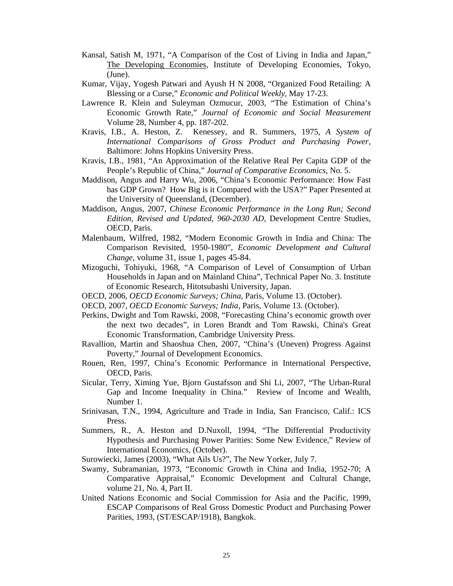- Kansal, Satish M, 1971, "A Comparison of the Cost of Living in India and Japan," The Developing Economies, Institute of Developing Economies, Tokyo, (June).
- Kumar, Vijay, Yogesh Patwari and Ayush H N 2008, "Organized Food Retailing: A Blessing or a Curse," *Economic and Political Weekly*, May 17-23.
- Lawrence R. Klein and Suleyman Ozmucur, 2003, "The Estimation of China's Economic Growth Rate," *Journal of Economic and Social Measurement* Volume 28, Number 4, pp. 187-202.
- Kravis, I.B., A. Heston, Z. Kenessey, and R. Summers, 1975, *A System of International Comparisons of Gross Product and Purchasing Power*, Baltimore: Johns Hopkins University Press.
- Kravis, I.B., 1981, "An Approximation of the Relative Real Per Capita GDP of the People's Republic of China," *Journal of Comparative Economics*, No. 5.
- Maddison, Angus and Harry Wu, 2006, "China's Economic Performance: How Fast has GDP Grown? How Big is it Compared with the USA?" Paper Presented at the University of Queensland, (December).
- Maddison, Angus, 2007, *Chinese Economic Performance in the Long Run; Second Edition, Revised and Updated, 960-2030 AD*, Development Centre Studies, OECD, Paris.
- Malenbaum, Wilfred, 1982, "Modern Economic Growth in India and China: The Comparison Revisited, 1950-1980", *Economic Development and Cultural Change*, volume 31, issue 1, pages 45-84.
- Mizoguchi, Tohiyuki, 1968, "A Comparison of Level of Consumption of Urban Households in Japan and on Mainland China", Technical Paper No. 3. Institute of Economic Research, Hitotsubashi University, Japan.
- OECD, 2006, *OECD Economic Surveys; China*, Paris, Volume 13. (October).
- OECD, 2007, *OECD Economic Surveys; India*, Paris, Volume 13. (October).
- Perkins, Dwight and Tom Rawski, 2008, "Forecasting China's economic growth over the next two decades", in Loren Brandt and Tom Rawski, China's Great Economic Transformation, Cambridge University Press.
- Ravallion, Martin and Shaoshua Chen, 2007, "China's (Uneven) Progress Against Poverty," Journal of Development Economics.
- Rouen, Ren, 1997, China's Economic Performance in International Perspective, OECD, Paris.
- Sicular, Terry, Ximing Yue, Bjorn Gustafsson and Shi Li, 2007, "The Urban-Rural Gap and Income Inequality in China." Review of Income and Wealth, Number 1.
- Srinivasan, T.N., 1994, Agriculture and Trade in India, San Francisco, Calif.: ICS Press.
- Summers, R., A. Heston and D.Nuxoll, 1994, "The Differential Productivity Hypothesis and Purchasing Power Parities: Some New Evidence," Review of International Economics, (October).
- Surowiecki, James (2003), "What Ails Us?", The New Yorker, July 7.
- Swamy, Subramanian, 1973, "Economic Growth in China and India, 1952-70; A Comparative Appraisal," Economic Development and Cultural Change, volume 21, No. 4, Part II.
- United Nations Economic and Social Commission for Asia and the Pacific, 1999, ESCAP Comparisons of Real Gross Domestic Product and Purchasing Power Parities, 1993, (ST/ESCAP/1918), Bangkok.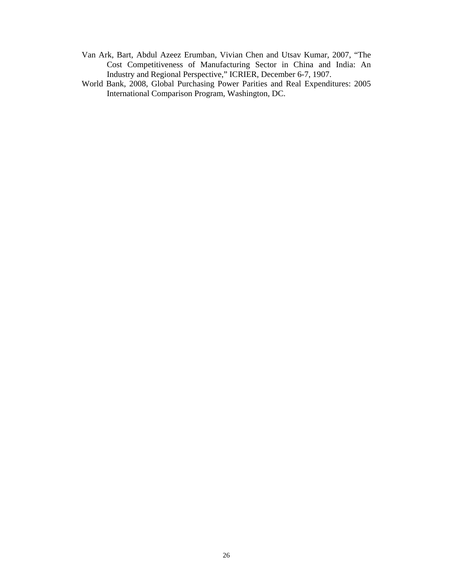- Van Ark, Bart, Abdul Azeez Erumban, Vivian Chen and Utsav Kumar, 2007, "The Cost Competitiveness of Manufacturing Sector in China and India: An Industry and Regional Perspective," ICRIER, December 6-7, 1907.
- World Bank, 2008, Global Purchasing Power Parities and Real Expenditures: 2005 International Comparison Program, Washington, DC.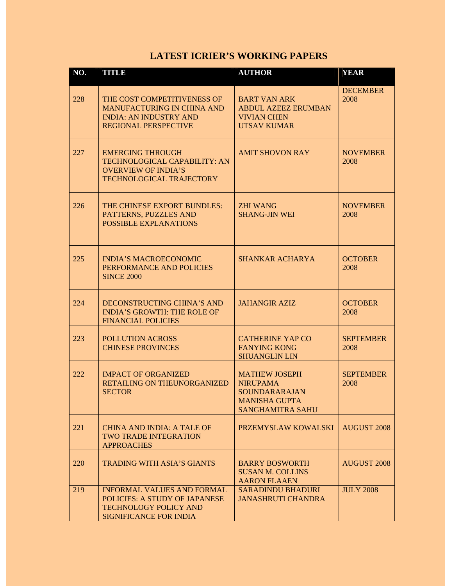# **LATEST ICRIER'S WORKING PAPERS**

| NO. | TITLE                                                                                                                               | <b>AUTHOR</b>                                                                                                      | <b>YEAR</b>              |
|-----|-------------------------------------------------------------------------------------------------------------------------------------|--------------------------------------------------------------------------------------------------------------------|--------------------------|
| 228 | THE COST COMPETITIVENESS OF<br><b>MANUFACTURING IN CHINA AND</b><br><b>INDIA: AN INDUSTRY AND</b><br><b>REGIONAL PERSPECTIVE</b>    | <b>BART VAN ARK</b><br><b>ABDUL AZEEZ ERUMBAN</b><br><b>VIVIAN CHEN</b><br><b>UTSAV KUMAR</b>                      | <b>DECEMBER</b><br>2008  |
| 227 | <b>EMERGING THROUGH</b><br>TECHNOLOGICAL CAPABILITY: AN<br><b>OVERVIEW OF INDIA'S</b><br>TECHNOLOGICAL TRAJECTORY                   | <b>AMIT SHOVON RAY</b>                                                                                             | <b>NOVEMBER</b><br>2008  |
| 226 | THE CHINESE EXPORT BUNDLES:<br>PATTERNS, PUZZLES AND<br><b>POSSIBLE EXPLANATIONS</b>                                                | <b>ZHI WANG</b><br><b>SHANG-JIN WEI</b>                                                                            | <b>NOVEMBER</b><br>2008  |
| 225 | <b>INDIA'S MACROECONOMIC</b><br>PERFORMANCE AND POLICIES<br><b>SINCE 2000</b>                                                       | <b>SHANKAR ACHARYA</b>                                                                                             | <b>OCTOBER</b><br>2008   |
| 224 | DECONSTRUCTING CHINA'S AND<br><b>INDIA'S GROWTH: THE ROLE OF</b><br><b>FINANCIAL POLICIES</b>                                       | <b>JAHANGIR AZIZ</b>                                                                                               | <b>OCTOBER</b><br>2008   |
| 223 | <b>POLLUTION ACROSS</b><br><b>CHINESE PROVINCES</b>                                                                                 | <b>CATHERINE YAP CO</b><br><b>FANYING KONG</b><br><b>SHUANGLIN LIN</b>                                             | <b>SEPTEMBER</b><br>2008 |
| 222 | <b>IMPACT OF ORGANIZED</b><br>RETAILING ON THEUNORGANIZED<br><b>SECTOR</b>                                                          | <b>MATHEW JOSEPH</b><br><b>NIRUPAMA</b><br><b>SOUNDARARAJAN</b><br><b>MANISHA GUPTA</b><br><b>SANGHAMITRA SAHU</b> | <b>SEPTEMBER</b><br>2008 |
| 221 | <b>CHINA AND INDIA: A TALE OF</b><br><b>TWO TRADE INTEGRATION</b><br><b>APPROACHES</b>                                              | PRZEMYSLAW KOWALSKI                                                                                                | <b>AUGUST 2008</b>       |
| 220 | <b>TRADING WITH ASIA'S GIANTS</b>                                                                                                   | <b>BARRY BOSWORTH</b><br><b>SUSAN M. COLLINS</b><br><b>AARON FLAAEN</b>                                            | <b>AUGUST 2008</b>       |
| 219 | <b>INFORMAL VALUES AND FORMAL</b><br>POLICIES: A STUDY OF JAPANESE<br><b>TECHNOLOGY POLICY AND</b><br><b>SIGNIFICANCE FOR INDIA</b> | <b>SARADINDU BHADURI</b><br><b>JANASHRUTI CHANDRA</b>                                                              | <b>JULY 2008</b>         |